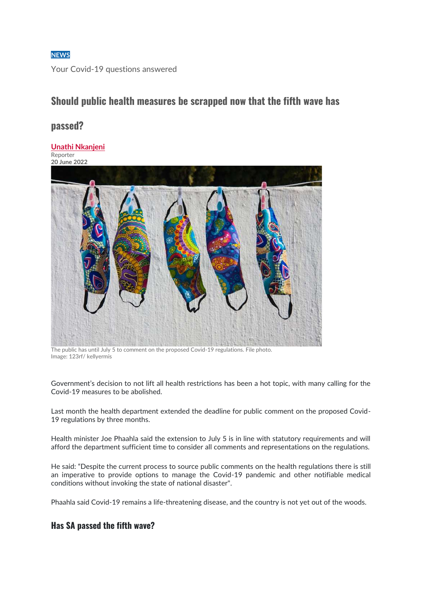#### **[NEWS](https://www.dispatchlive.co.za/news/)**

Your Covid-19 questions answered

# **Should public health measures be scrapped now that the fifth wave has**

## **passed?**

#### **[Unathi Nkanjeni](https://www.dispatchlive.co.za/authors/unathi-nkanjeni)**

Reporter **20 June 2022**



The public has until July 5 to comment on the proposed Covid-19 regulations. File photo. Image: 123rf/ kellyermis

Government's decision to not lift all health restrictions has been a hot topic, with many calling for the Covid-19 measures to be abolished.

Last month the health department extended the deadline for public comment on the proposed Covid-19 regulations by three months.

Health minister Joe Phaahla said the extension to July 5 is in line with statutory requirements and will afford the department sufficient time to consider all comments and representations on the regulations.

He said: "Despite the current process to source public comments on the health regulations there is still an imperative to provide options to manage the Covid-19 pandemic and other notifiable medical conditions without invoking the state of national disaster".

Phaahla said Covid-19 remains a life-threatening disease, and the country is not yet out of the woods.

### **Has SA passed the fifth wave?**